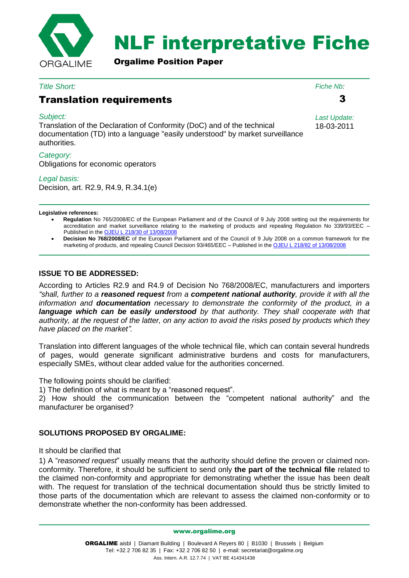

# NLF interpretative Fiche

Orgalime Position Paper

#### *Title Short:*

## Translation requirements

#### *Subject:*

Translation of the Declaration of Conformity (DoC) and of the technical documentation (TD) into a language "easily understood" by market surveillance authorities.

#### *Category:*

Obligations for economic operators

#### *Legal basis:*

Decision, art. R2.9, R4.9, R.34.1(e)

#### **Legislative references:**

 **Regulation** No 765/2008/EC of the European Parliament and of the Council of 9 July 2008 setting out the requirements for accreditation and market surveillance relating to the marketing of products and repealing Regulation No 339/93/EEC – Published in the [OJEU L 218/30 of 13/08/2008](http://eur-lex.europa.eu/LexUriServ/LexUriServ.do?uri=OJ:L:2008:218:0030:0047:EN:PDF)

 **Decision No 768/2008/EC** of the European Parliament and of the Council of 9 July 2008 on a common framework for the marketing of products, and repealing Council Decision 93/465/EEC – Published in the [OJEU L 218/82 of 13/08/2008](http://eur-lex.europa.eu/LexUriServ/LexUriServ.do?uri=OJ:L:2008:218:0082:0128:EN:PDF)

### **ISSUE TO BE ADDRESSED:**

According to Articles R2.9 and R4.9 of Decision No 768/2008/EC, manufacturers and importers *"shall, further to a reasoned request from a competent national authority, provide it with all the information and documentation necessary to demonstrate the conformity of the product, in a language which can be easily understood by that authority. They shall cooperate with that authority, at the request of the latter, on any action to avoid the risks posed by products which they have placed on the market".*

Translation into different languages of the whole technical file, which can contain several hundreds of pages, would generate significant administrative burdens and costs for manufacturers, especially SMEs, without clear added value for the authorities concerned.

The following points should be clarified:

1) The definition of what is meant by a "reasoned request".

2) How should the communication between the "competent national authority" and the manufacturer be organised?

#### **SOLUTIONS PROPOSED BY ORGALIME:**

#### It should be clarified that

1) A "*reasoned request*" usually means that the authority should define the proven or claimed nonconformity. Therefore, it should be sufficient to send only **the part of the technical file** related to the claimed non-conformity and appropriate for demonstrating whether the issue has been dealt with. The request for translation of the technical documentation should thus be strictly limited to those parts of the documentation which are relevant to assess the claimed non-conformity or to demonstrate whether the non-conformity has been addressed.

www.orgalime.org

*Fiche Nb:*

3

*Last Update:* 18-03-2011